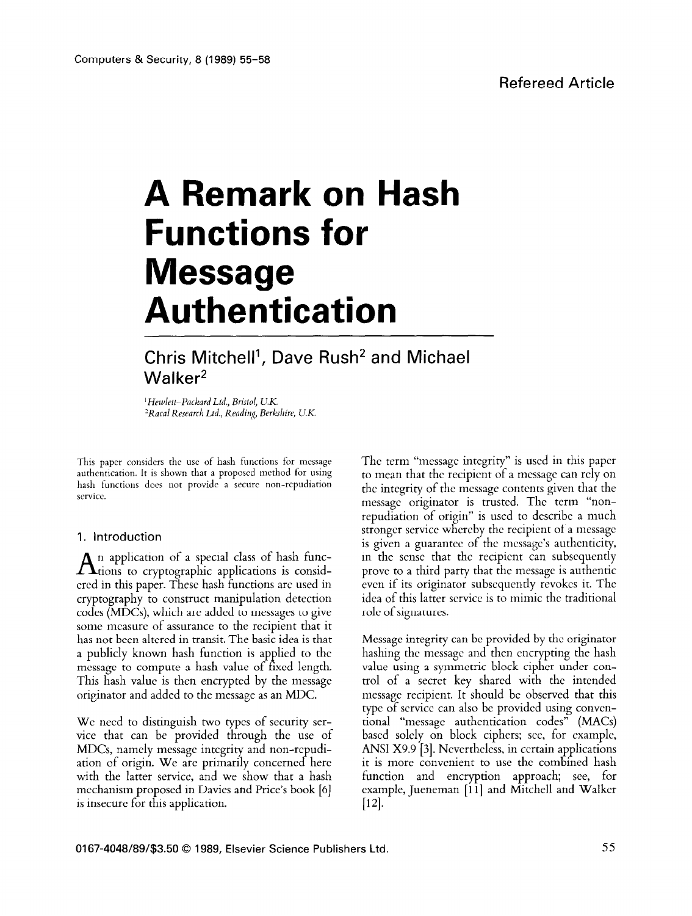# **A Remark on Hash Functions for Message Authentication**

# Chris Mitchell<sup>1</sup>, Dave Rush<sup>2</sup> and Michael  $W$ alker<sup>2</sup>

' *Hewlelr-Packard Ltd., Bristol, U.K.*  <sup>2</sup> Racal Research Ltd., Reading, Berkshire, U.K.

This paper considers the use of hash functions for message authentication. It is shown that a proposed method for using hash functions does not provide a secure non-repudiation service.

# **1. Introduction**

 $A$ <sup>n</sup> application of a special class of hash funcered in this paper. These hash functions arc used in cryptography to construct manipulation detection codes (MDCs), which are added to messages to give some measure of assurance to the recipient that it has not been altered in transit. The basic idea is that a publicly known hash function is applied to the message to compute a hash value of fixed length. This hash value is then encrypted by the message originator and added to the message as an MDC.

We need to distinguish two types of security service that can be provided through the use of MDCs, namely mcssagc integrity and non-rcpudiation of origin. We are primarily concerned here with the latter service, and we show that a hash mechanism proposed in Davies and Price's book **[6]**  is insecure for this application.

The term "message integrity" is used in this paper to mean that the recipient of a message can rely on the integrity of the message contents given that the message originator is trusted. The term "nonrepudiation of origin" is used to describe a much stronger service whereby the recipient of a message is given a guarantee of the message's authenticity, in the sense that the recipient can subsequently prove to a third party that the message is authentic even if its originator subsequently revokes it. The idea of this latter service is to mimic the traditional role of signatures.

Message integrity can be provided by the originator hashing the message and then encrypting the hash value using a symmetric block cipher under control of a secret key shared with the intended message recipient. It should be observed that this type of service can also be provided using conventional "message authentication codes" (MACs) based solely on block ciphers; see, for example, ANSI X9.9 [3]. Nevertheless, in certain applications it is more convenient to use the combined hash function and encryption approach; see, for example, Jueneman [l l] and Mitchell and Walker  $|12|$ .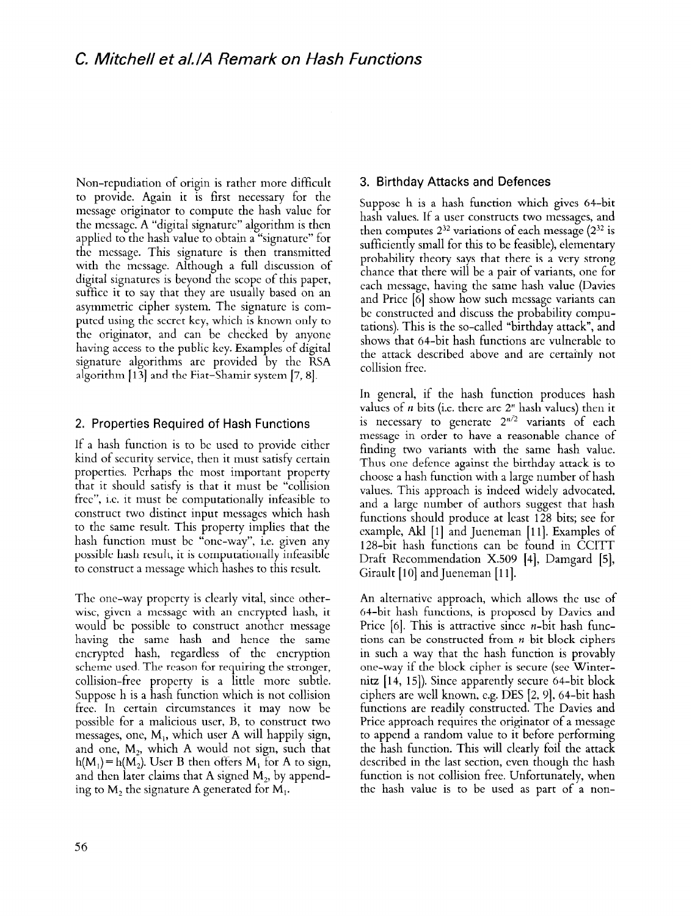Non-repudiation of origin is rather more difficult to provide. Again it is first necessary for the message originator to compute the hash value for the message A "digital signature" algorithm is then applied to the hash value to obtain a "signature" for the message. This signature is then transmitted with the message. Although a full discussion of digital signatures is beyond the scope of this paper, suffice it to say that they are usually based on an asymmetric cipher system. The signature is computed using the secret key, which is known only to the originator, and can be checked by anyone having access to the public key. Examples of digital signature algorithms arc provided by the RSA algorithm [13] and the Fiat-Shamir system [7, 81.

# 2. Properties Required of Hash Functions

If a hash function is to be used to provide either kind of security service, then it must satisfy certain properties. Perhaps the most important property that it should satisfy is that it must be "collision free", i.e. it must be computationally infeasible to construct two distinct input mcssagcs which hash to the same result. This property implies that the hash function must be "one-way", i.e. given any possible hash result, it is computationally infeasible to construct a message which hashes to this result.

The one-way propcrty is clearly vital, since otherwise, given a message with an encrypted hash, it would bc possible to construct another message having the same hash and hence the same encrypted hash, regardless of the encryption scheme used. The reason for requiring the stronger, collision-free property is a little more subtle. Suppose h is a hash function which is not collision free In certain circumstances it may now be possible for a malicious user, B, to construct two messages, one, M,, which user A will happily sign, and one,  $M_2$ , which A would not sign, such that  $h(M_1) = h(M_2)$ . User B then offers M<sub>1</sub> for A to sign, and then later claims that A signed  $M_2$ , by appending to  $M_2$ , the signature A generated for  $M_1$ .

## 3. Birthday Attacks and Defences

Suppose h is a hash function which gives 64-bit hash values. If a user constructs two messages, and then computes  $2^{32}$  variations of each message  $(2^{32}$  is sufficiently small for this to be feasible), elementary probability theory says that there is a very strong chance that there will be a pair of variants, one for each message, having the same hash value (Davies and Price [6] show how such message variants can bc constructed and discuss the probability computations). This is the so-called "birthday attack", and shows that 64-bit hash functions are vulnerable to the attack described above and are certainly not collision free.

In general, if the hash function produces hash values of *n* bits (i.e. there are  $2<sup>n</sup>$  hash values) then it is necessary to generate  $2^{n/2}$  variants of each message in order to have a reasonable chance of finding two variants with the same hash value. Thus one defence against the birthday attack is to choose a hash function with a large number of hash values. This approach is indeed widely advocated, and a large number of authors suggest that hash functions should produce at least 128 bits; see for example, Akl [1] and Jueneman [11]. Examples of 128-bit hash functions can be found in CCITT Draft Recommendation X.509 [4], Damgard [5], Girault [lo] and Jueneman **[l** 11.

An alternative approach, which allows the use of 64-bit hash functions, is proposed by Davies and Price  $[6]$ . This is attractive since *n*-bit hash functions can be constructed from n-bit block ciphers in such a way that the hash function is provably one-way if the block cipher is secure (see Winternitz  $[14, 15]$ ). Since apparently secure 64-bit block ciphers are well known, e.g. DES [2, 91, 64-bit hash functions are readilv constructed. The Davies and Price approach requires the originator of a message to append a random value to it before performing the hash function. This will clearly foil the attack described in the last section, even though the hash function is not collision free. Unfortunately, when the hash value is to be used as part of a non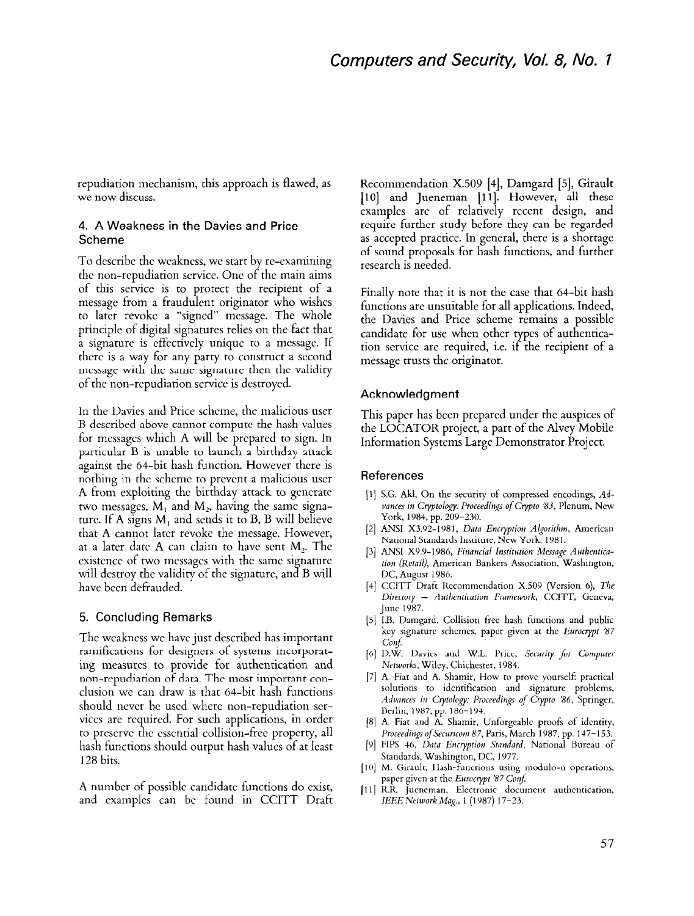repudiation mechanism, this approach is flawed, as we now discuss.

#### 4. A Weakness in the Davies and Price Scheme

To describe the weakness, we start by re-examining the non-repudiation service. One of the main aims of this service is to protect the recipient of a message from a fraudulent originator who wishes to later revoke a "signed" message. The whole principle of digital signatures relies on the fact that a signature is effectively unique to a message. If there is a way for any party to construct a second message with the same signature then the validity of the non-repudiation service is destroyed.

In the Davies and Price scheme, the malicious user B described above cannot compute the hash values for messages which A will be prepared to sign. In particular B is unable to launch a birthday attack against the 64-bit hash function. However there is nothing in the scheme to prevent a malicious user A from exploiting the birthday attack to generate two messages,  $M_1$  and  $M_2$ , having the same signature. If A signs  $M_1$  and sends it to B, B will believe that A cannot later revoke the message. However, at a later date A can claim to have sent  $M_2$ . The existence of two messages with the same signature will destroy the validity of the signature, and B will have been defrauded.

### 5. Concluding Remarks

The weakness we have just described has important ramifications for designers of systems incorporating measures to provide for authentication and non-repudiation of data. The most important conclusion we can draw is that 64-bit hash functions should never be used where non-repudiation scrvices are required. For such applications, in order to prcservc the essential collision-free property, all hash functions should output hash values of at least 128 bits.

A number of possible candidate functions do exist, and examples can bc found in CCITT Draft Recommendation X.509 [4], Damgard [5], Girault [10] and Jueneman [11]. However, all these examples are of relatively recent design, and require further study before they can be regarded as accepted practice. In general, there is a shortage of sound proposals for hash functions, and further research is needed.

Finally note that it is not the case that 64-bit hash functions are unsuitable for all applications. Indeed, the Davies and Price scheme remains a possible candidate for use when other types of authentication service are required, i.e. if the recipient of a message trusts the originator.

#### Acknowledgment

This paper has been prepared under the auspices of the LOCATOR project, a part of the Alvey Mobile Information Systems Large Demonstrator Project.

#### References

- [I] S.G. Akl, On the security of compressed encodings, *Ad*vances in Cryptology: Proceedings of Crypto '83, Plenum, New York, 1984, pp. 209-230.
- [2] ANSI X3.92-1981, Data *Encryption Algorithm,* American National Standards Institute, New York, 1981.
- [3] ANSI X9.9-1986, *Financial Institution Message Authentication (Retail),* American Bankers Association, Washington, DC, August 1986.
- [4] CCITT Draft Recommendation X.509 (Version 6), The *Directory - Authentication Framework,* CCITT, Geneva, June 1987.
- [5] IS. Damgard, Collision free hash functions and public key signature schemes, paper given at the *Eurocrypt '87 Cot6*
- **PI**  D.W. Davies and W.L. Price, *Security for Computer Networks,* Wiley, Chichester, 1984.
- [7] A. Fiat and A. Shamir, How to prove yourself: practical solutions to identification and signature problems, Advances in Crytology: Proceedings of Crypto '86, Springer, Berlin, 1987, pp. 186-194.
- [8] A. Fiat and A. Shamir, Unforgeable proofs of identity Proceedings of Securicom 87, Paris, March 1987, pp. 147-153*.*
- PI FIPS 46, *Data Encryption Standard,* National Bureau of Standards, Washington, DC, 1977.
- [10] M. Girault, Hash-functions using modulo-n operation paper given at the *Eurocrypt '87 Conf:*
- [I 11 R.R. Jueneman, Electronic document authentication, *lEEENetworkMag.,* 1 (1987) 17-23.